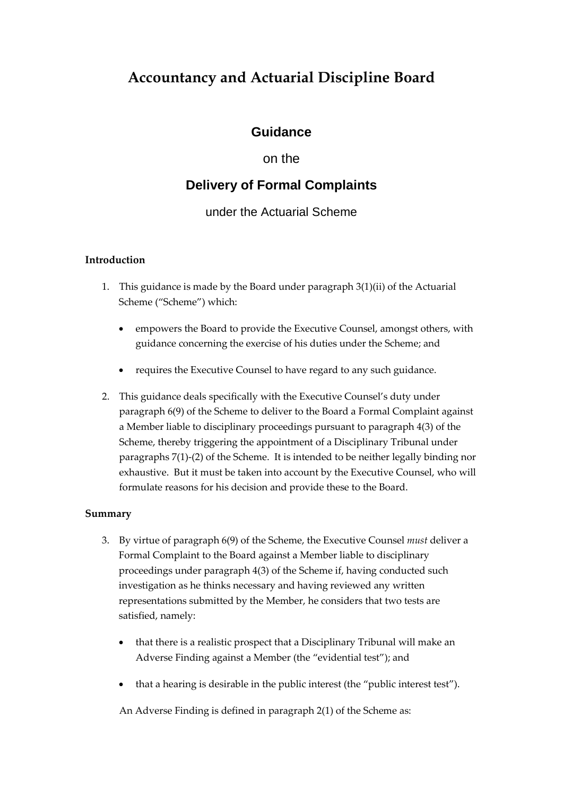# **Accountancy and Actuarial Discipline Board**

### **Guidance**

### on the

## **Delivery of Formal Complaints**

### under the Actuarial Scheme

#### **Introduction**

- 1. This guidance is made by the Board under paragraph 3(1)(ii) of the Actuarial Scheme ("Scheme") which:
	- empowers the Board to provide the Executive Counsel, amongst others, with guidance concerning the exercise of his duties under the Scheme; and
	- requires the Executive Counsel to have regard to any such guidance.
- 2. This guidance deals specifically with the Executive Counsel's duty under paragraph 6(9) of the Scheme to deliver to the Board a Formal Complaint against a Member liable to disciplinary proceedings pursuant to paragraph 4(3) of the Scheme, thereby triggering the appointment of a Disciplinary Tribunal under paragraphs 7(1)-(2) of the Scheme. It is intended to be neither legally binding nor exhaustive. But it must be taken into account by the Executive Counsel, who will formulate reasons for his decision and provide these to the Board.

#### **Summary**

- 3. By virtue of paragraph 6(9) of the Scheme, the Executive Counsel *must* deliver a Formal Complaint to the Board against a Member liable to disciplinary proceedings under paragraph 4(3) of the Scheme if, having conducted such investigation as he thinks necessary and having reviewed any written representations submitted by the Member, he considers that two tests are satisfied, namely:
	- that there is a realistic prospect that a Disciplinary Tribunal will make an Adverse Finding against a Member (the "evidential test"); and
	- that a hearing is desirable in the public interest (the "public interest test").

An Adverse Finding is defined in paragraph 2(1) of the Scheme as: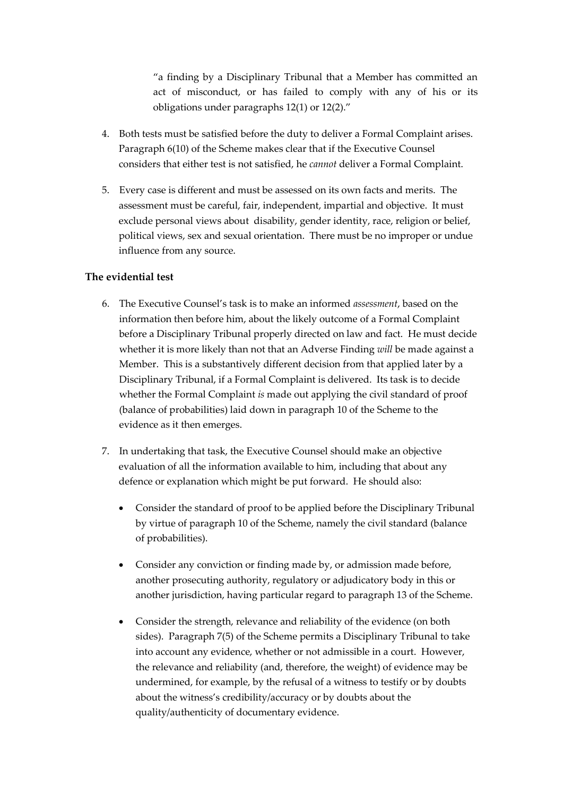"a finding by a Disciplinary Tribunal that a Member has committed an act of misconduct, or has failed to comply with any of his or its obligations under paragraphs 12(1) or 12(2)."

- 4. Both tests must be satisfied before the duty to deliver a Formal Complaint arises. Paragraph 6(10) of the Scheme makes clear that if the Executive Counsel considers that either test is not satisfied, he *cannot* deliver a Formal Complaint.
- 5. Every case is different and must be assessed on its own facts and merits. The assessment must be careful, fair, independent, impartial and objective. It must exclude personal views about disability, gender identity, race, religion or belief, political views, sex and sexual orientation. There must be no improper or undue influence from any source.

#### **The evidential test**

- 6. The Executive Counsel's task is to make an informed *assessment*, based on the information then before him, about the likely outcome of a Formal Complaint before a Disciplinary Tribunal properly directed on law and fact. He must decide whether it is more likely than not that an Adverse Finding *will* be made against a Member. This is a substantively different decision from that applied later by a Disciplinary Tribunal, if a Formal Complaint is delivered. Its task is to decide whether the Formal Complaint *is* made out applying the civil standard of proof (balance of probabilities) laid down in paragraph 10 of the Scheme to the evidence as it then emerges.
- 7. In undertaking that task, the Executive Counsel should make an objective evaluation of all the information available to him, including that about any defence or explanation which might be put forward. He should also:
	- Consider the standard of proof to be applied before the Disciplinary Tribunal by virtue of paragraph 10 of the Scheme, namely the civil standard (balance of probabilities).
	- Consider any conviction or finding made by, or admission made before, another prosecuting authority, regulatory or adjudicatory body in this or another jurisdiction, having particular regard to paragraph 13 of the Scheme.
	- Consider the strength, relevance and reliability of the evidence (on both sides). Paragraph 7(5) of the Scheme permits a Disciplinary Tribunal to take into account any evidence, whether or not admissible in a court. However, the relevance and reliability (and, therefore, the weight) of evidence may be undermined, for example, by the refusal of a witness to testify or by doubts about the witness's credibility/accuracy or by doubts about the quality/authenticity of documentary evidence.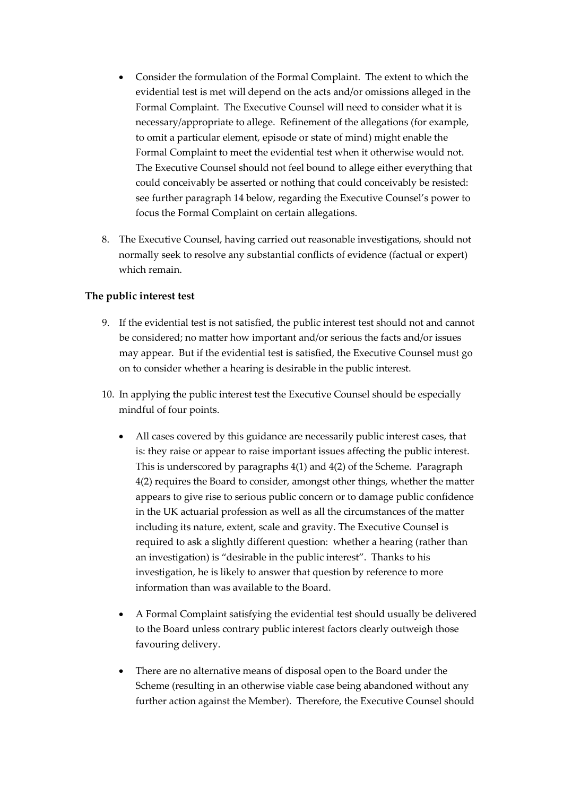- Consider the formulation of the Formal Complaint. The extent to which the evidential test is met will depend on the acts and/or omissions alleged in the Formal Complaint. The Executive Counsel will need to consider what it is necessary/appropriate to allege. Refinement of the allegations (for example, to omit a particular element, episode or state of mind) might enable the Formal Complaint to meet the evidential test when it otherwise would not. The Executive Counsel should not feel bound to allege either everything that could conceivably be asserted or nothing that could conceivably be resisted: see further paragraph 14 below, regarding the Executive Counsel's power to focus the Formal Complaint on certain allegations.
- 8. The Executive Counsel, having carried out reasonable investigations, should not normally seek to resolve any substantial conflicts of evidence (factual or expert) which remain.

#### **The public interest test**

- 9. If the evidential test is not satisfied, the public interest test should not and cannot be considered; no matter how important and/or serious the facts and/or issues may appear. But if the evidential test is satisfied, the Executive Counsel must go on to consider whether a hearing is desirable in the public interest.
- 10. In applying the public interest test the Executive Counsel should be especially mindful of four points.
	- All cases covered by this guidance are necessarily public interest cases, that is: they raise or appear to raise important issues affecting the public interest. This is underscored by paragraphs 4(1) and 4(2) of the Scheme. Paragraph 4(2) requires the Board to consider, amongst other things, whether the matter appears to give rise to serious public concern or to damage public confidence in the UK actuarial profession as well as all the circumstances of the matter including its nature, extent, scale and gravity. The Executive Counsel is required to ask a slightly different question: whether a hearing (rather than an investigation) is "desirable in the public interest". Thanks to his investigation, he is likely to answer that question by reference to more information than was available to the Board.
	- A Formal Complaint satisfying the evidential test should usually be delivered to the Board unless contrary public interest factors clearly outweigh those favouring delivery.
	- There are no alternative means of disposal open to the Board under the Scheme (resulting in an otherwise viable case being abandoned without any further action against the Member). Therefore, the Executive Counsel should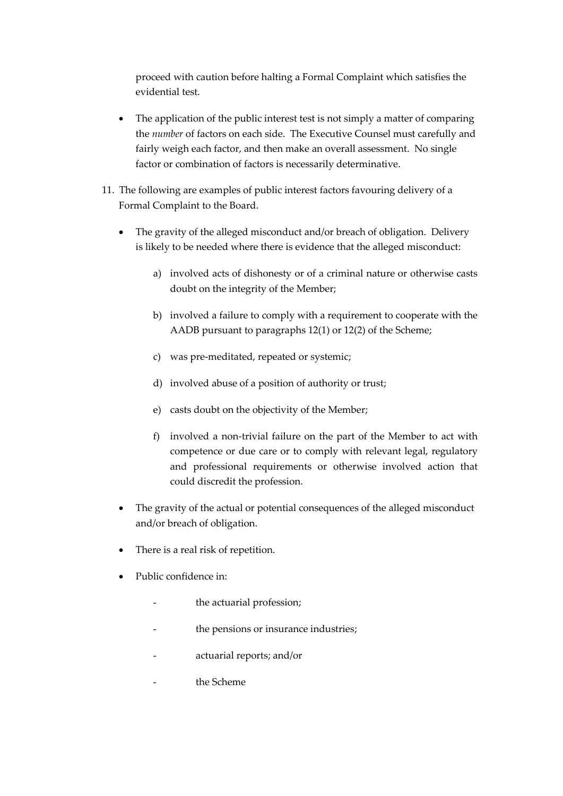proceed with caution before halting a Formal Complaint which satisfies the evidential test.

- The application of the public interest test is not simply a matter of comparing the *number* of factors on each side. The Executive Counsel must carefully and fairly weigh each factor, and then make an overall assessment. No single factor or combination of factors is necessarily determinative.
- 11. The following are examples of public interest factors favouring delivery of a Formal Complaint to the Board.
	- The gravity of the alleged misconduct and/or breach of obligation. Delivery is likely to be needed where there is evidence that the alleged misconduct:
		- a) involved acts of dishonesty or of a criminal nature or otherwise casts doubt on the integrity of the Member;
		- b) involved a failure to comply with a requirement to cooperate with the AADB pursuant to paragraphs 12(1) or 12(2) of the Scheme;
		- c) was pre-meditated, repeated or systemic;
		- d) involved abuse of a position of authority or trust;
		- e) casts doubt on the objectivity of the Member;
		- f) involved a non-trivial failure on the part of the Member to act with competence or due care or to comply with relevant legal, regulatory and professional requirements or otherwise involved action that could discredit the profession.
	- The gravity of the actual or potential consequences of the alleged misconduct and/or breach of obligation.
	- There is a real risk of repetition.
	- Public confidence in:
		- the actuarial profession;
		- the pensions or insurance industries;
		- actuarial reports; and/or
		- the Scheme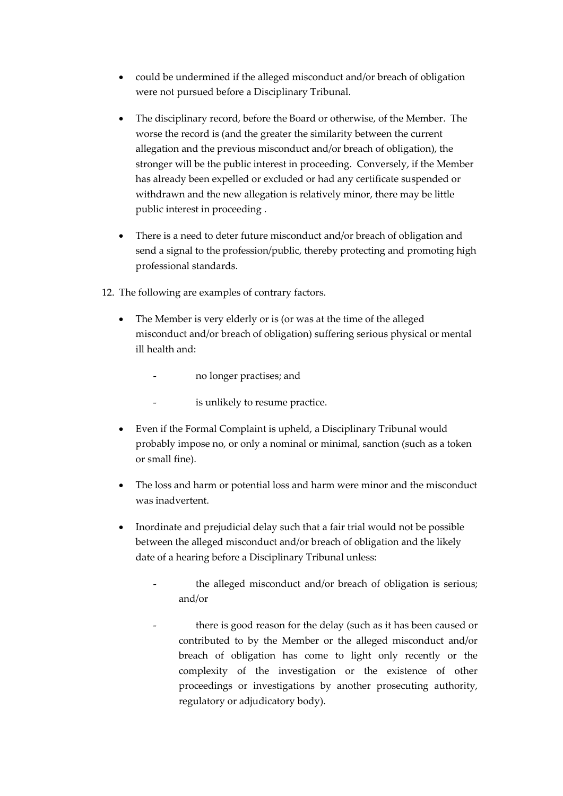- could be undermined if the alleged misconduct and/or breach of obligation were not pursued before a Disciplinary Tribunal.
- The disciplinary record, before the Board or otherwise, of the Member. The worse the record is (and the greater the similarity between the current allegation and the previous misconduct and/or breach of obligation), the stronger will be the public interest in proceeding. Conversely, if the Member has already been expelled or excluded or had any certificate suspended or withdrawn and the new allegation is relatively minor, there may be little public interest in proceeding .
- There is a need to deter future misconduct and/or breach of obligation and send a signal to the profession/public, thereby protecting and promoting high professional standards.
- 12. The following are examples of contrary factors.
	- The Member is very elderly or is (or was at the time of the alleged misconduct and/or breach of obligation) suffering serious physical or mental ill health and:
		- no longer practises; and
		- is unlikely to resume practice.
	- Even if the Formal Complaint is upheld, a Disciplinary Tribunal would probably impose no, or only a nominal or minimal, sanction (such as a token or small fine).
	- The loss and harm or potential loss and harm were minor and the misconduct was inadvertent.
	- Inordinate and prejudicial delay such that a fair trial would not be possible between the alleged misconduct and/or breach of obligation and the likely date of a hearing before a Disciplinary Tribunal unless:
		- the alleged misconduct and/or breach of obligation is serious; and/or
		- there is good reason for the delay (such as it has been caused or contributed to by the Member or the alleged misconduct and/or breach of obligation has come to light only recently or the complexity of the investigation or the existence of other proceedings or investigations by another prosecuting authority, regulatory or adjudicatory body).